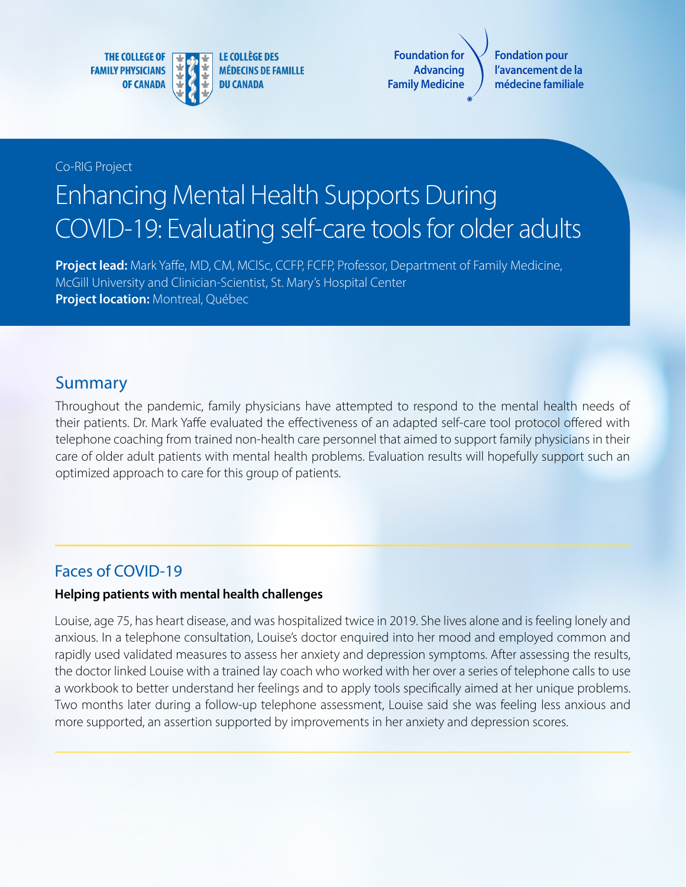**THE COLLEGE OF FAMILY PHYSICIANS OF CANADA** 



**LE COLLÈGE DES MÉDECINS DE FAMILLE DU CANADA** 

**Foundation for Advancing Family Medicine**

**Fondation pour l'avancement de la médecine familiale**

Co-RIG Project

# Enhancing Mental Health Supports During COVID-19: Evaluating self-care tools for older adults

**Project lead:** Mark Yaffe, MD, CM, MClSc, CCFP, FCFP, Professor, Department of Family Medicine, McGill University and Clinician-Scientist, St. Mary's Hospital Center **Project location:** Montreal, Québec

## Summary

Throughout the pandemic, family physicians have attempted to respond to the mental health needs of their patients. Dr. Mark Yaffe evaluated the effectiveness of an adapted self-care tool protocol offered with telephone coaching from trained non-health care personnel that aimed to support family physicians in their care of older adult patients with mental health problems. Evaluation results will hopefully support such an optimized approach to care for this group of patients.

## Faces of COVID-19

#### **Helping patients with mental health challenges**

Louise, age 75, has heart disease, and was hospitalized twice in 2019. She lives alone and is feeling lonely and anxious. In a telephone consultation, Louise's doctor enquired into her mood and employed common and rapidly used validated measures to assess her anxiety and depression symptoms. After assessing the results, the doctor linked Louise with a trained lay coach who worked with her over a series of telephone calls to use a workbook to better understand her feelings and to apply tools specifically aimed at her unique problems. Two months later during a follow-up telephone assessment, Louise said she was feeling less anxious and more supported, an assertion supported by improvements in her anxiety and depression scores.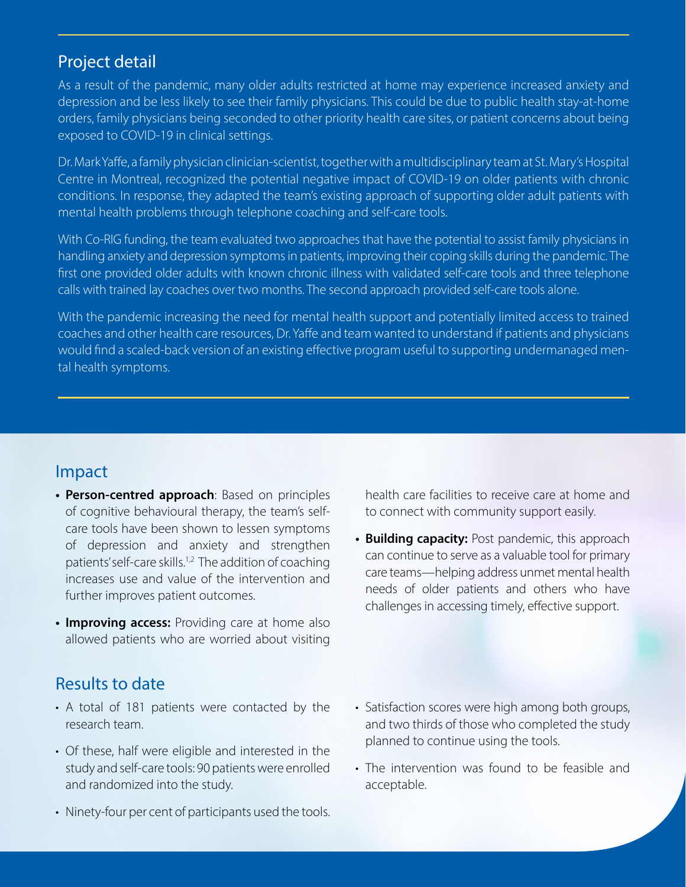#### Project detail

As a result of the pandemic, many older adults restricted at home may experience increased anxiety and depression and be less likely to see their family physicians. This could be due to public health stay-at-home orders, family physicians being seconded to other priority health care sites, or patient concerns about being exposed to COVID-19 in clinical settings.

Dr. Mark Yaffe, a family physician clinician-scientist, together with a multidisciplinary team at St. Mary's Hospital Centre in Montreal, recognized the potential negative impact of COVID-19 on older patients with chronic conditions. In response, they adapted the team's existing approach of supporting older adult patients with mental health problems through telephone coaching and self-care tools.

With Co-RIG funding, the team evaluated two approaches that have the potential to assist family physicians in handling anxiety and depression symptoms in patients, improving their coping skills during the pandemic. The first one provided older adults with known chronic illness with validated self-care tools and three telephone calls with trained lay coaches over two months. The second approach provided self-care tools alone.

With the pandemic increasing the need for mental health support and potentially limited access to trained coaches and other health care resources, Dr. Yaffe and team wanted to understand if patients and physicians would find a scaled-back version of an existing effective program useful to supporting undermanaged mental health symptoms.

### Impact

- **• Person-centred approach**: Based on principles of cognitive behavioural therapy, the team's selfcare tools have been shown to lessen symptoms of depression and anxiety and strengthen patients' self-care skills.<sup>1,2</sup> The addition of coaching increases use and value of the intervention and further improves patient outcomes.
- **• Improving access:** Providing care at home also allowed patients who are worried about visiting

#### health care facilities to receive care at home and to connect with community support easily.

**• Building capacity:** Post pandemic, this approach can continue to serve as a valuable tool for primary care teams—helping address unmet mental health needs of older patients and others who have challenges in accessing timely, effective support.

## Results to date

- A total of 181 patients were contacted by the research team.
- Of these, half were eligible and interested in the study and self-care tools: 90 patients were enrolled and randomized into the study.
- Ninety-four per cent of participants used the tools.
- Satisfaction scores were high among both groups, and two thirds of those who completed the study planned to continue using the tools.
- The intervention was found to be feasible and acceptable.